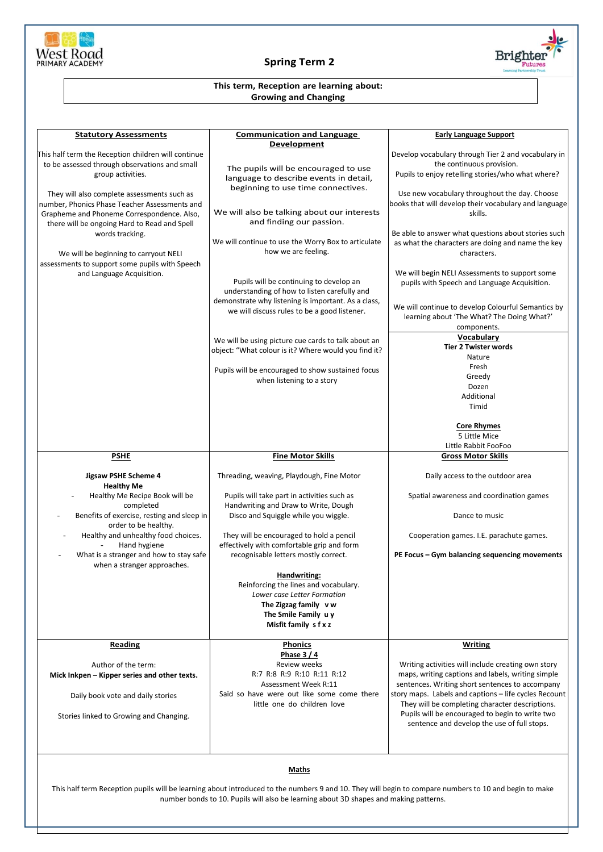

## **Spring Term 2**



## **This term, Reception are learning about: Growing and Changing**

| <b>Statutory Assessments</b>                                                                                                                                                                                                                           | <b>Communication and Language</b>                                                                                                                                                              | <b>Early Language Support</b>                                                                                                                                                                                                                |
|--------------------------------------------------------------------------------------------------------------------------------------------------------------------------------------------------------------------------------------------------------|------------------------------------------------------------------------------------------------------------------------------------------------------------------------------------------------|----------------------------------------------------------------------------------------------------------------------------------------------------------------------------------------------------------------------------------------------|
| This half term the Reception children will continue                                                                                                                                                                                                    | Development                                                                                                                                                                                    | Develop vocabulary through Tier 2 and vocabulary in                                                                                                                                                                                          |
| to be assessed through observations and small<br>group activities.                                                                                                                                                                                     | The pupils will be encouraged to use<br>language to describe events in detail,                                                                                                                 | the continuous provision.<br>Pupils to enjoy retelling stories/who what where?                                                                                                                                                               |
| They will also complete assessments such as<br>number, Phonics Phase Teacher Assessments and<br>Grapheme and Phoneme Correspondence. Also,<br>there will be ongoing Hard to Read and Spell<br>words tracking.<br>We will be beginning to carryout NELI | beginning to use time connectives.<br>We will also be talking about our interests<br>and finding our passion.<br>We will continue to use the Worry Box to articulate<br>how we are feeling.    | Use new vocabulary throughout the day. Choose<br>books that will develop their vocabulary and language<br>skills.<br>Be able to answer what questions about stories such<br>as what the characters are doing and name the key<br>characters. |
| assessments to support some pupils with Speech<br>and Language Acquisition.                                                                                                                                                                            | Pupils will be continuing to develop an<br>understanding of how to listen carefully and<br>demonstrate why listening is important. As a class,<br>we will discuss rules to be a good listener. | We will begin NELI Assessments to support some<br>pupils with Speech and Language Acquisition.<br>We will continue to develop Colourful Semantics by<br>learning about 'The What? The Doing What?'<br>components.                            |
|                                                                                                                                                                                                                                                        | We will be using picture cue cards to talk about an<br>object: "What colour is it? Where would you find it?                                                                                    | Vocabulary<br><b>Tier 2 Twister words</b><br>Nature                                                                                                                                                                                          |
|                                                                                                                                                                                                                                                        | Pupils will be encouraged to show sustained focus<br>when listening to a story                                                                                                                 | Fresh<br>Greedy<br>Dozen<br>Additional<br>Timid                                                                                                                                                                                              |
|                                                                                                                                                                                                                                                        |                                                                                                                                                                                                | <b>Core Rhymes</b><br>5 Little Mice<br>Little Rabbit FooFoo                                                                                                                                                                                  |
| <b>PSHE</b>                                                                                                                                                                                                                                            | <b>Fine Motor Skills</b>                                                                                                                                                                       | <b>Gross Motor Skills</b>                                                                                                                                                                                                                    |
| Jigsaw PSHE Scheme 4<br><b>Healthy Me</b>                                                                                                                                                                                                              | Threading, weaving, Playdough, Fine Motor                                                                                                                                                      | Daily access to the outdoor area                                                                                                                                                                                                             |
| Healthy Me Recipe Book will be<br>completed<br>Benefits of exercise, resting and sleep in                                                                                                                                                              | Pupils will take part in activities such as<br>Handwriting and Draw to Write, Dough<br>Disco and Squiggle while you wiggle.                                                                    | Spatial awareness and coordination games<br>Dance to music                                                                                                                                                                                   |
| order to be healthy.                                                                                                                                                                                                                                   |                                                                                                                                                                                                |                                                                                                                                                                                                                                              |
| Healthy and unhealthy food choices.<br>Hand hygiene<br>What is a stranger and how to stay safe                                                                                                                                                         | They will be encouraged to hold a pencil<br>effectively with comfortable grip and form<br>recognisable letters mostly correct.                                                                 | Cooperation games. I.E. parachute games.<br>PE Focus - Gym balancing sequencing movements                                                                                                                                                    |
| when a stranger approaches.                                                                                                                                                                                                                            | Handwriting:<br>Reinforcing the lines and vocabulary.<br>Lower case Letter Formation<br>The Zigzag family vw<br>The Smile Family uy<br>Misfit family s f x z                                   |                                                                                                                                                                                                                                              |
| <b>Reading</b>                                                                                                                                                                                                                                         | <b>Phonics</b><br>Phase $3/4$                                                                                                                                                                  | <b>Writing</b>                                                                                                                                                                                                                               |
| Author of the term:<br>Mick Inkpen - Kipper series and other texts.<br>Daily book vote and daily stories                                                                                                                                               | Review weeks<br>R:7 R:8 R:9 R:10 R:11 R:12<br>Assessment Week R:11<br>Said so have were out like some come there                                                                               | Writing activities will include creating own story<br>maps, writing captions and labels, writing simple<br>sentences. Writing short sentences to accompany<br>story maps. Labels and captions - life cycles Recount                          |
| Stories linked to Growing and Changing.                                                                                                                                                                                                                | little one do children love                                                                                                                                                                    | They will be completing character descriptions.<br>Pupils will be encouraged to begin to write two<br>sentence and develop the use of full stops.                                                                                            |
|                                                                                                                                                                                                                                                        |                                                                                                                                                                                                |                                                                                                                                                                                                                                              |

## **Maths**

This half term Reception pupils will be learning about introduced to the numbers 9 and 10. They will begin to compare numbers to 10 and begin to make number bonds to 10. Pupils will also be learning about 3D shapes and making patterns.